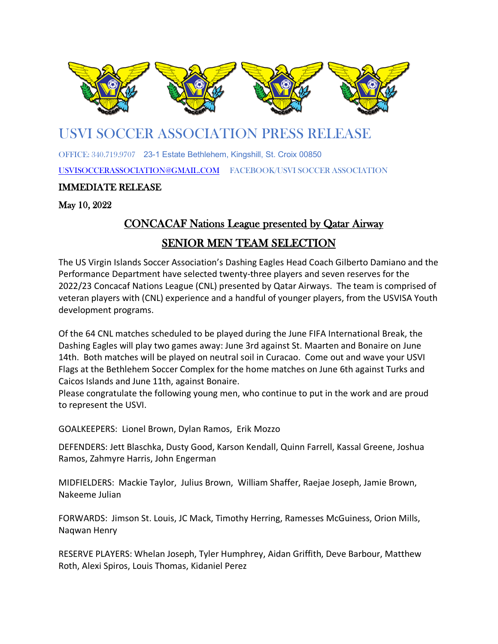

## U[SVI SO](https://en.wikipedia.org/wiki/United_States_Virgin_Islands_national_soccer_team)CCER [ASSO](https://en.wikipedia.org/wiki/United_States_Virgin_Islands_national_soccer_team)CIATI[ON PR](https://en.wikipedia.org/wiki/United_States_Virgin_Islands_national_soccer_team)ESS RE[LEASE](https://en.wikipedia.org/wiki/United_States_Virgin_Islands_national_soccer_team) l

OF[FICE: 340](https://creativecommons.org/licenses/by-sa/3.0/).719.9707 23-[1 Estate](https://creativecommons.org/licenses/by-sa/3.0/) Bethlehem, Kin[gshill, St](https://creativecommons.org/licenses/by-sa/3.0/). Croix 00850

[USVISOCCERASSOCIATION@GMAIL.COM](mailto:USVISOCCERASSOCIATION@GMAIL.COM) FACEBOOK/USVI SOCCER ASSOCIATION

## IMMEDIATE RELEASE

May 10, 2022

## CONCACAF Nations League presented by Qatar Airway

## SENIOR MEN TEAM SELECTION

The US Virgin Islands Soccer Association's Dashing Eagles Head Coach Gilberto Damiano and the Performance Department have selected twenty-three players and seven reserves for the 2022/23 Concacaf Nations League (CNL) presented by Qatar Airways. The team is comprised of veteran players with (CNL) experience and a handful of younger players, from the USVISA Youth development programs.

Of the 64 CNL matches scheduled to be played during the June FIFA International Break, the Dashing Eagles will play two games away: June 3rd against St. Maarten and Bonaire on June 14th. Both matches will be played on neutral soil in Curacao. Come out and wave your USVI Flags at the Bethlehem Soccer Complex for the home matches on June 6th against Turks and Caicos Islands and June 11th, against Bonaire.

Please congratulate the following young men, who continue to put in the work and are proud to represent the USVI.

GOALKEEPERS: Lionel Brown, Dylan Ramos, Erik Mozzo

DEFENDERS: Jett Blaschka, Dusty Good, Karson Kendall, Quinn Farrell, Kassal Greene, Joshua Ramos, Zahmyre Harris, John Engerman

MIDFIELDERS: Mackie Taylor, Julius Brown, William Shaffer, Raejae Joseph, Jamie Brown, Nakeeme Julian

FORWARDS: Jimson St. Louis, JC Mack, Timothy Herring, Ramesses McGuiness, Orion Mills, Naqwan Henry

RESERVE PLAYERS: Whelan Joseph, Tyler Humphrey, Aidan Griffith, Deve Barbour, Matthew Roth, Alexi Spiros, Louis Thomas, Kidaniel Perez